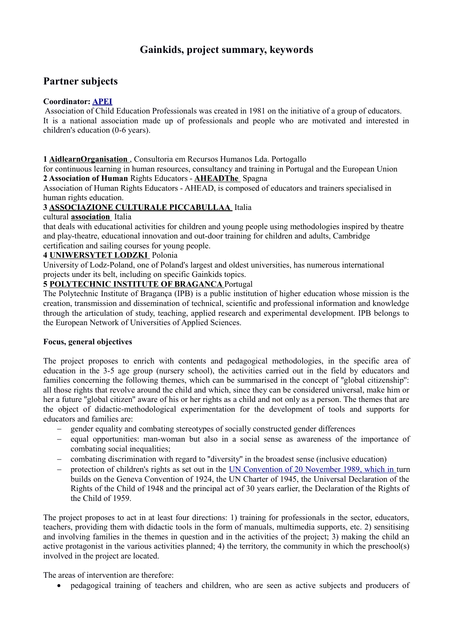# **Gainkids, project summary, keywords**

## **Partner subjects**

## **Coordinator: [APEI](http://www.apei.pt/)**

 Association of Child Education Professionals was created in 1981 on the initiative of a group of educators. It is a national association made up of professionals and people who are motivated and interested in children's education (0-6 years).

#### **1 [AidlearnOrganisation](https://www.aidlearn.pt/pt/)** , Consultoria em Recursos Humanos Lda. Portogallo

for continuous learning in human resources, consultancy and training in Portugal and the European Union **2 Association of Human** Rights Educators - **[AHEADThe](http://www.AHEADedu.org/)** Spagna

Association of Human Rights Educators - AHEAD, is composed of educators and trainers specialised in human rights education.

#### **3 [ASSOCIAZIONE CULTURALE PICCABULLAA](https://piccabulla.it/)** Italia

#### cultural **[association](https://piccabulla.it/)** Italia

that deals with educational activities for children and young people using methodologies inspired by theatre and play-theatre, educational innovation and out-door training for children and adults, Cambridge certification and sailing courses for young people.

#### **4 [UNIWERSYTET LODZKI](http://www.uni.lodz.pl/)** Polonia

University of Lodz-Poland, one of Poland's largest and oldest universities, has numerous international projects under its belt, including on specific Gainkids topics.

#### **5 [POLYTECHNIC INSTITUTE OF BRAGANCA](http://www.ipb.pt/)** Portugal

The Polytechnic Institute of Bragança (IPB) is a public institution of higher education whose mission is the creation, transmission and dissemination of technical, scientific and professional information and knowledge through the articulation of study, teaching, applied research and experimental development. IPB belongs to the European Network of Universities of Applied Sciences.

#### **Focus, general objectives**

The project proposes to enrich with contents and pedagogical methodologies, in the specific area of education in the 3-5 age group (nursery school), the activities carried out in the field by educators and families concerning the following themes, which can be summarised in the concept of ''global citizenship'': all those rights that revolve around the child and which, since they can be considered universal, make him or her a future ''global citizen'' aware of his or her rights as a child and not only as a person. The themes that are the object of didactic-methodological experimentation for the development of tools and supports for educators and families are:

- gender equality and combating stereotypes of socially constructed gender differences
- equal opportunities: man-woman but also in a social sense as awareness of the importance of combating social inequalities;
- combating discrimination with regard to ''diversity'' in the broadest sense (inclusive education)
- protection of children's rights as set out in the [UN Convention of 20 November 1989, which in t](https://it.wikipedia.org/wiki/Convenzione_internazionale_sui_diritti_dell)urn builds on the Geneva Convention of 1924, the UN Charter of 1945, the Universal Declaration of the Rights of the Child of 1948 and the principal act of 30 years earlier, the Declaration of the Rights of the Child of 1959.

The project proposes to act in at least four directions: 1) training for professionals in the sector, educators, teachers, providing them with didactic tools in the form of manuals, multimedia supports, etc. 2) sensitising and involving families in the themes in question and in the activities of the project; 3) making the child an active protagonist in the various activities planned; 4) the territory, the community in which the preschool(s) involved in the project are located.

The areas of intervention are therefore:

pedagogical training of teachers and children, who are seen as active subjects and producers of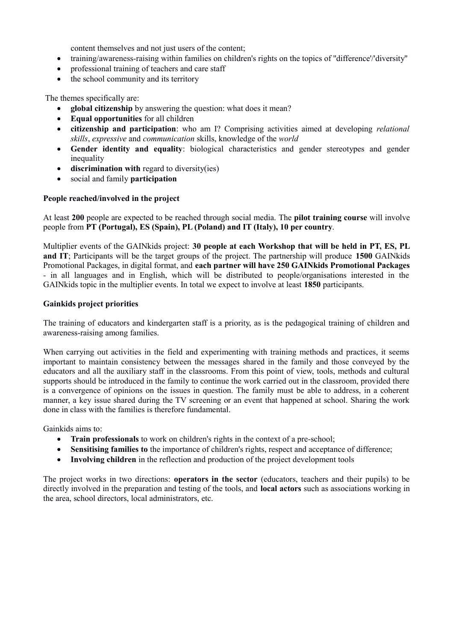content themselves and not just users of the content;

- training/awareness-raising within families on children's rights on the topics of ''difference'/'diversity''
- professional training of teachers and care staff
- the school community and its territory

The themes specifically are:

- **global citizenship** by answering the question: what does it mean?
- **Equal opportunities** for all children
- **citizenship and participation**: who am I? Comprising activities aimed at developing *relational skills*, *expressive* and *communication* skills, knowledge of the *world*
- **Gender identity and equality**: biological characteristics and gender stereotypes and gender inequality
- discrimination with regard to diversity(ies)
- social and family **participation**

#### **People reached/involved in the project**

At least **200** people are expected to be reached through social media. The **pilot training course** will involve people from **PT (Portugal), ES (Spain), PL (Poland) and IT (Italy), 10 per country**.

Multiplier events of the GAINkids project: **30 people at each Workshop that will be held in PT, ES, PL and IT**; Participants will be the target groups of the project. The partnership will produce **1500** GAINkids Promotional Packages, in digital format, and **each partner will have 250 GAINkids Promotional Packages** - in all languages and in English, which will be distributed to people/organisations interested in the GAINkids topic in the multiplier events. In total we expect to involve at least **1850** participants.

#### **Gainkids project priorities**

The training of educators and kindergarten staff is a priority, as is the pedagogical training of children and awareness-raising among families.

When carrying out activities in the field and experimenting with training methods and practices, it seems important to maintain consistency between the messages shared in the family and those conveyed by the educators and all the auxiliary staff in the classrooms. From this point of view, tools, methods and cultural supports should be introduced in the family to continue the work carried out in the classroom, provided there is a convergence of opinions on the issues in question. The family must be able to address, in a coherent manner, a key issue shared during the TV screening or an event that happened at school. Sharing the work done in class with the families is therefore fundamental.

Gainkids aims to:

- **Train professionals** to work on children's rights in the context of a pre-school;
- Sensitising families to the importance of children's rights, respect and acceptance of difference;
- **Involving children** in the reflection and production of the project development tools

The project works in two directions: **operators in the sector** (educators, teachers and their pupils) to be directly involved in the preparation and testing of the tools, and **local actors** such as associations working in the area, school directors, local administrators, etc.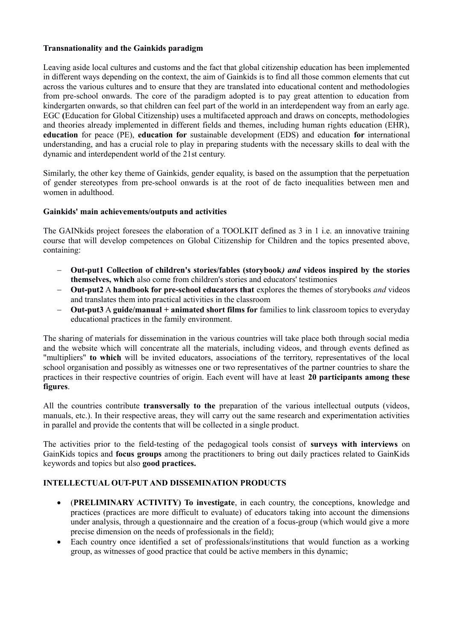## **Transnationality and the Gainkids paradigm**

Leaving aside local cultures and customs and the fact that global citizenship education has been implemented in different ways depending on the context, the aim of Gainkids is to find all those common elements that cut across the various cultures and to ensure that they are translated into educational content and methodologies from pre-school onwards. The core of the paradigm adopted is to pay great attention to education from kindergarten onwards, so that children can feel part of the world in an interdependent way from an early age. EGC **(**Education for Global Citizenship) uses a multifaceted approach and draws on concepts, methodologies and theories already implemented in different fields and themes, including human rights education (EHR), **education** for peace (PE), **education for** sustainable development (EDS) and education **for** international understanding, and has a crucial role to play in preparing students with the necessary skills to deal with the dynamic and interdependent world of the 21st century.

Similarly, the other key theme of Gainkids, gender equality, is based on the assumption that the perpetuation of gender stereotypes from pre-school onwards is at the root of de facto inequalities between men and women in adulthood.

#### **Gainkids' main achievements/outputs and activities**

The GAINkids project foresees the elaboration of a TOOLKIT defined as 3 in 1 i.e. an innovative training course that will develop competences on Global Citizenship for Children and the topics presented above, containing:

- **Out-put1 Collection of children's stories/fables (storybook***) and* **videos inspired by the stories themselves, which** also come from children's stories and educators' testimonies
- **Out-put2** A **handbook for pre-school educators that** explores the themes of storybooks *and* videos and translates them into practical activities in the classroom
- **Out-put3** A **guide/manual + animated short films for** families to link classroom topics to everyday educational practices in the family environment.

The sharing of materials for dissemination in the various countries will take place both through social media and the website which will concentrate all the materials, including videos, and through events defined as "multipliers" **to which** will be invited educators, associations of the territory, representatives of the local school organisation and possibly as witnesses one or two representatives of the partner countries to share the practices in their respective countries of origin. Each event will have at least **20 participants among these figures**.

All the countries contribute **transversally to the** preparation of the various intellectual outputs (videos, manuals, etc.). In their respective areas, they will carry out the same research and experimentation activities in parallel and provide the contents that will be collected in a single product.

The activities prior to the field-testing of the pedagogical tools consist of **surveys with interviews** on GainKids topics and **focus groups** among the practitioners to bring out daily practices related to GainKids keywords and topics but also **good practices.**

## **INTELLECTUAL OUT-PUT AND DISSEMINATION PRODUCTS**

- (**PRELIMINARY ACTIVITY) To investigate**, in each country, the conceptions, knowledge and practices (practices are more difficult to evaluate) of educators taking into account the dimensions under analysis, through a questionnaire and the creation of a focus-group (which would give a more precise dimension on the needs of professionals in the field);
- Each country once identified a set of professionals/institutions that would function as a working group, as witnesses of good practice that could be active members in this dynamic;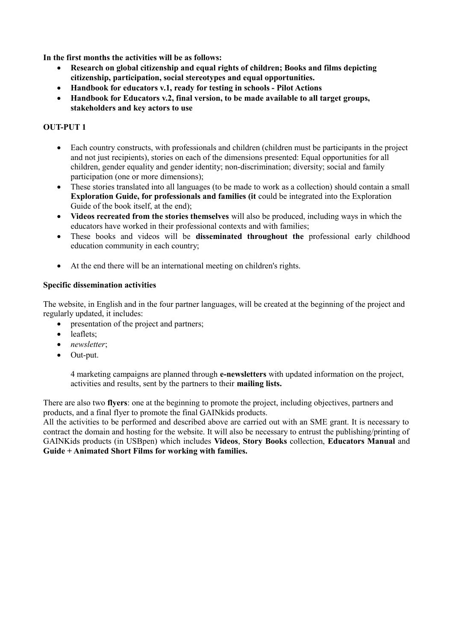**In the first months the activities will be as follows:**

- **Research on global citizenship and equal rights of children; Books and films depicting citizenship, participation, social stereotypes and equal opportunities.**
- **Handbook for educators v.1, ready for testing in schools Pilot Actions**
- **Handbook for Educators v.2, final version, to be made available to all target groups, stakeholders and key actors to use**

## **OUT-PUT 1**

- Each country constructs, with professionals and children (children must be participants in the project and not just recipients), stories on each of the dimensions presented: Equal opportunities for all children, gender equality and gender identity; non-discrimination; diversity; social and family participation (one or more dimensions);
- These stories translated into all languages (to be made to work as a collection) should contain a small **Exploration Guide, for professionals and families (it** could be integrated into the Exploration Guide of the book itself, at the end);
- **Videos recreated from the stories themselves** will also be produced, including ways in which the educators have worked in their professional contexts and with families;
- These books and videos will be **disseminated throughout the** professional early childhood education community in each country;
- At the end there will be an international meeting on children's rights.

#### **Specific dissemination activities**

The website, in English and in the four partner languages, will be created at the beginning of the project and regularly updated, it includes:

- presentation of the project and partners;
- leaflets:
- *newsletter*;
- Out-put.

4 marketing campaigns are planned through **e-newsletters** with updated information on the project, activities and results, sent by the partners to their **mailing lists.**

There are also two **flyers**: one at the beginning to promote the project, including objectives, partners and products, and a final flyer to promote the final GAINkids products.

All the activities to be performed and described above are carried out with an SME grant. It is necessary to contract the domain and hosting for the website. It will also be necessary to entrust the publishing/printing of GAINKids products (in USBpen) which includes **Videos**, **Story Books** collection, **Educators Manual** and **Guide + Animated Short Films for working with families.**